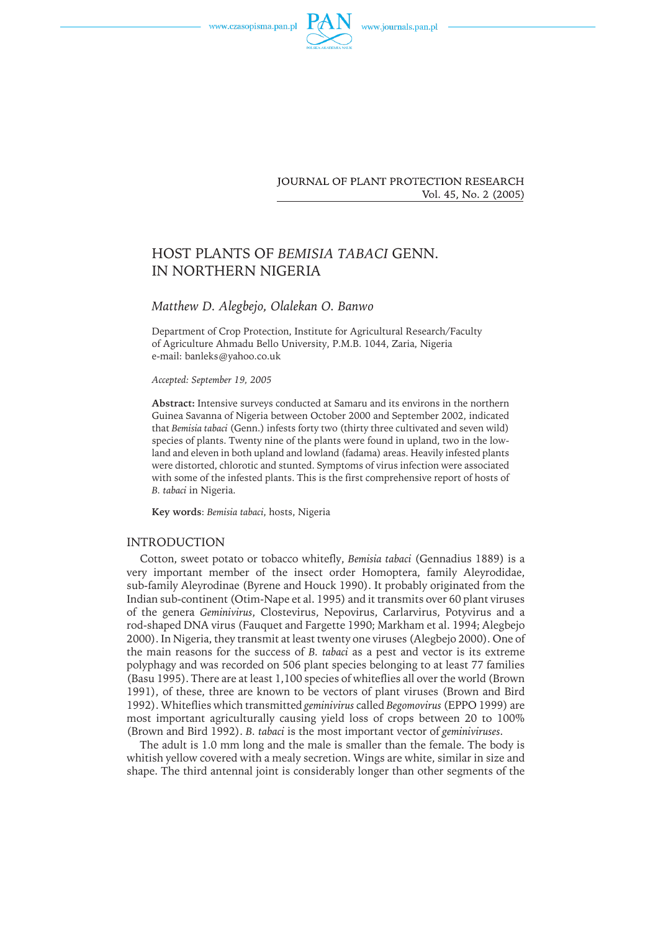



**JOURNAL OF PLANT PROTECTION RESEARCH** Vol. 45, No. 2 (2005)

# HOST PLANTS OF *BEMISIA TABACI* GENN. IN NORTHERN NIGERIA

# *Matthew D. Alegbejo, Olalekan O. Banwo*

Department of Crop Protection, Institute for Agricultural Research/Faculty of Agriculture Ahmadu Bello University, P.M.B. 1044, Zaria, Nigeria e-mail: banleks@yahoo.co.uk

*Accepted: September 19, 2005*

**Abstract:** Intensive surveys conducted at Samaru and its environs in the northern Guinea Savanna of Nigeria between October 2000 and September 2002, indicated that *Bemisia tabaci* (Genn.) infests forty two (thirty three cultivated and seven wild) species of plants. Twenty nine of the plants were found in upland, two in the lowland and eleven in both upland and lowland (fadama) areas. Heavily infested plants were distorted, chlorotic and stunted. Symptoms of virus infection were associated with some of the infested plants. This is the first comprehensive report of hosts of *B. tabaci* in Nigeria.

**Key words**: *Bemisia tabaci*, hosts, Nigeria

# INTRODUCTION

Cotton, sweet potato or tobacco whitefly, *Bemisia tabaci* (Gennadius 1889) is a very important member of the insect order Homoptera, family Aleyrodidae, sub-family Aleyrodinae (Byrene and Houck 1990). It probably originated from the Indian sub-continent (Otim-Nape et al. 1995) and it transmits over 60 plant viruses of the genera *Geminivirus*, Clostevirus, Nepovirus, Carlarvirus, Potyvirus and a rod-shaped DNA virus (Fauquet and Fargette 1990; Markham et al. 1994; Alegbejo 2000). In Nigeria, they transmit at least twenty one viruses (Alegbejo 2000). One of the main reasons for the success of *B. tabaci* as a pest and vector is its extreme polyphagy and was recorded on 506 plant species belonging to at least 77 families (Basu 1995). There are at least 1,100 species of whiteflies all over the world (Brown 1991), of these, three are known to be vectors of plant viruses (Brown and Bird 1992). Whiteflies which transmitted *geminivirus* called *Begomovirus* (EPPO 1999) are most important agriculturally causing yield loss of crops between 20 to 100% (Brown and Bird 1992). *B. tabaci* is the most important vector of *geminiviruses*.

The adult is 1.0 mm long and the male is smaller than the female. The body is whitish yellow covered with a mealy secretion. Wings are white, similar in size and shape. The third antennal joint is considerably longer than other segments of the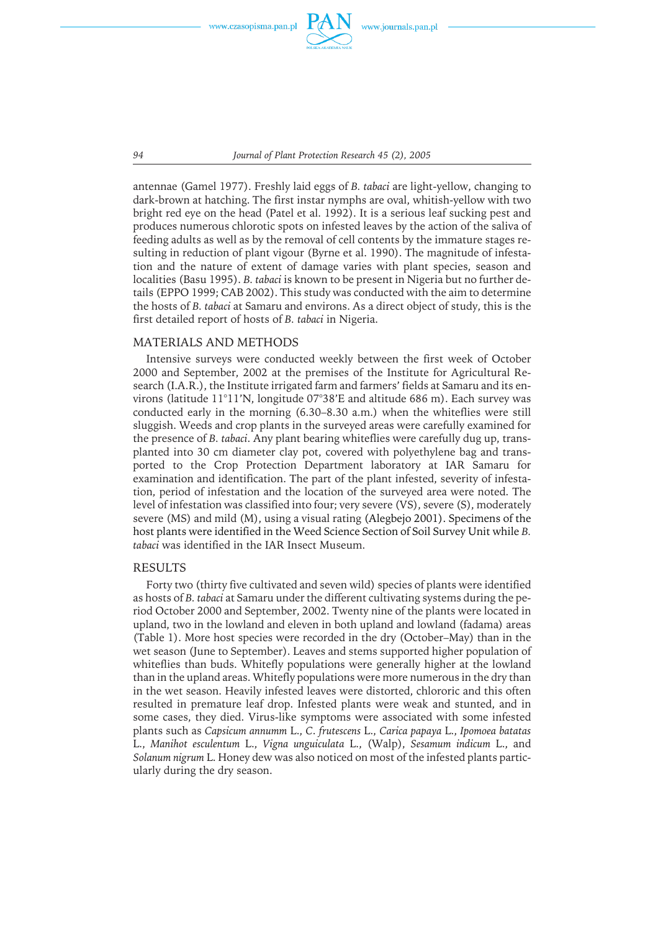

*94 Journal of Plant Protection Research 45 (2), 2005*

antennae (Gamel 1977). Freshly laid eggs of *B. tabaci* are light-yellow, changing to dark-brown at hatching. The first instar nymphs are oval, whitish-yellow with two bright red eye on the head (Patel et al. 1992). It is a serious leaf sucking pest and produces numerous chlorotic spots on infested leaves by the action of the saliva of feedingadults as well as by the removal of cell contents by the immature stages resulting in reduction of plant vigour (Byrne et al. 1990). The magnitude of infestation and the nature of extent of damage varies with plant species, season and localities (Basu 1995). *B. tabaci* is known to be present in Nigeria but no further details (EPPO 1999; CAB 2002). This study was conducted with the aim to determine the hosts of *B. tabaci* at Samaru and environs. As a direct object of study, this is the first detailed report of hosts of *B. tabaci* in Nigeria.

### MATERIALS AND METHODS

Intensive surveys were conducted weekly between the first week of October 2000 and September, 2002 at the premises of the Institute for Agricultural Research (I.A.R.), the Institute irrigated farm and farmers' fields at Samaru and its environs (latitude 11°11'N, longitude 07°38'E and altitude 686 m). Each survey was conducted early in the morning(6.30–8.30 a.m.) when the whiteflies were still sluggish. Weeds and crop plants in the surveyed areas were carefully examined for the presence of *B. tabaci*. Any plant bearingwhiteflies were carefully dugup, transplanted into 30 cm diameter clay pot, covered with polyethylene bagand transported to the Crop Protection Department laboratory at IAR Samaru for examination and identification. The part of the plant infested, severity of infestation, period of infestation and the location of the surveyed area were noted. The level of infestation was classified into four; very severe (VS), severe (S), moderately severe (MS) and mild (M), usinga visual rating (Alegbejo 2001). Specimens of the host plants were identified in the Weed Science Section of Soil Survey Unit while *B. tabaci* was identified in the IAR Insect Museum.

#### RESULTS

Forty two (thirty five cultivated and seven wild) species of plants were identified as hosts of *B. tabaci* at Samaru under the different cultivating systems during the period October 2000 and September, 2002. Twenty nine of the plants were located in upland, two in the lowland and eleven in both upland and lowland (fadama) areas (Table 1). More host species were recorded in the dry (October–May) than in the wet season (June to September). Leaves and stems supported higher population of whiteflies than buds. Whitefly populations were generally higher at the lowland than in the upland areas. Whitefly populations were more numerous in the dry than in the wet season. Heavily infested leaves were distorted, chlororic and this often resulted in premature leaf drop. Infested plants were weak and stunted, and in some cases, they died. Virus-like symptoms were associated with some infested plants such as *Capsicum annumm* L., *C*. *frutescens* L., *Carica papaya* L., *Ipomoea batatas* L., *Manihot esculentum* L., *Vigna unguiculata* L., (Walp), *Sesamum indicum* L., and *Solanum nigrum* L. Honey dew was also noticed on most of the infested plants particularly during the dry season.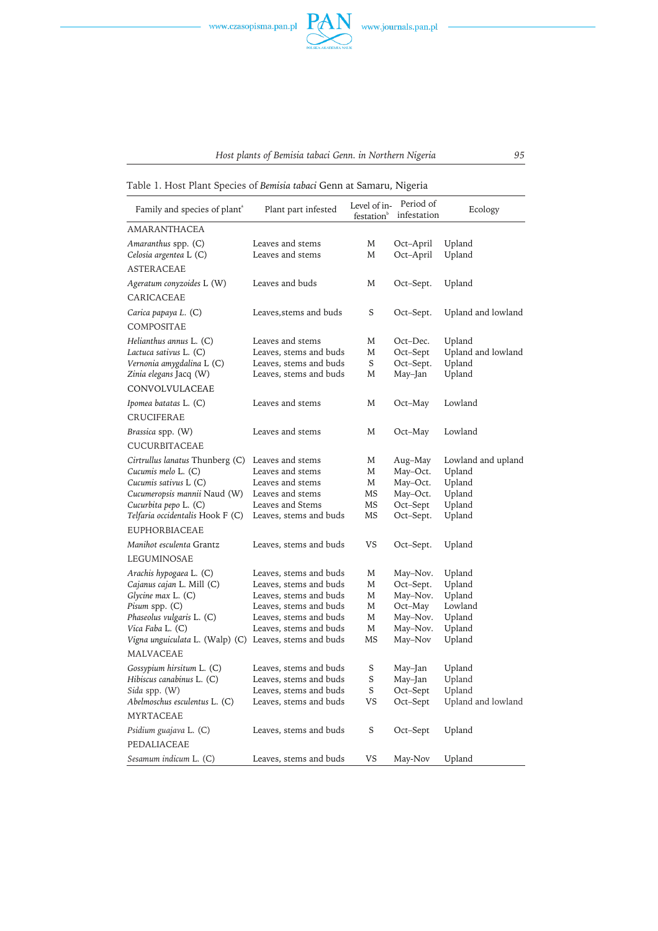

# *Host plants of Bemisia tabaci Genn. in Northern Nigeria 95*

Table 1. Host Plant Species of *Bemisia tabaci* Genn at Samaru, Nigeria

| Family and species of plant <sup>®</sup>               | Plant part infested    | Level of in-<br>festation <sup>b</sup> | Period of<br>infestation | Ecology            |
|--------------------------------------------------------|------------------------|----------------------------------------|--------------------------|--------------------|
| <b>AMARANTHACEA</b>                                    |                        |                                        |                          |                    |
| Amaranthus spp. (C)                                    | Leaves and stems       | M                                      | Oct-April                | Upland             |
| Celosia argentea L (C)                                 | Leaves and stems       | M                                      | Oct-April                | Upland             |
| <b>ASTERACEAE</b>                                      |                        |                                        |                          |                    |
| Ageratum conyzoides L (W)                              | Leaves and buds        | M                                      | Oct–Sept.                | Upland             |
| CARICACEAE                                             |                        |                                        |                          |                    |
| Carica papaya L. (C)                                   | Leaves, stems and buds | S                                      | Oct-Sept.                | Upland and lowland |
| COMPOSITAE                                             |                        |                                        |                          |                    |
| Helianthus annus L. (C)                                | Leaves and stems       | M                                      | Oct-Dec.                 | Upland             |
| Lactuca sativus L. (C)                                 | Leaves, stems and buds | M                                      | Oct-Sept                 | Upland and lowland |
| Vernonia amygdalina L (C)                              | Leaves, stems and buds | S                                      | Oct-Sept.                | Upland             |
| Zinia elegans Jacq (W)                                 | Leaves, stems and buds | M                                      | May–Jan                  | Upland             |
| CONVOLVULACEAE                                         |                        |                                        |                          |                    |
| Ipomea batatas L. (C)                                  | Leaves and stems       | M                                      | Oct–May                  | Lowland            |
| <b>CRUCIFERAE</b>                                      |                        |                                        |                          |                    |
| Brassica spp. (W)                                      | Leaves and stems       | M                                      | Oct–May                  | Lowland            |
| CUCURBITACEAE                                          |                        |                                        |                          |                    |
| Cirtrullus lanatus Thunberg (C)                        | Leaves and stems       | M                                      | Aug–May                  | Lowland and upland |
| Cucumis melo L. (C)                                    | Leaves and stems       | M                                      | May-Oct.                 | Upland             |
| Cucumis sativus L (C)                                  | Leaves and stems       | M                                      | May-Oct.                 | Upland             |
| Cucumeropsis mannii Naud (W)                           | Leaves and stems       | MS                                     | May-Oct.                 | Upland             |
| Cucurbita pepo L. (C)                                  | Leaves and Stems       | MS                                     | Oct-Sept                 | Upland             |
| Telfaria occidentalis Hook F (C)                       | Leaves, stems and buds | MS                                     | Oct-Sept.                | Upland             |
| <b>EUPHORBIACEAE</b>                                   |                        |                                        |                          |                    |
| Manihot esculenta Grantz                               | Leaves, stems and buds | VS                                     | Oct-Sept.                | Upland             |
| LEGUMINOSAE                                            |                        |                                        |                          |                    |
| Arachis hypogaea L. (C)                                | Leaves, stems and buds | M                                      | May-Nov.                 | Upland             |
| Cajanus cajan L. Mill (C)                              | Leaves, stems and buds | M                                      | Oct-Sept.                | Upland             |
| Glycine max L. (C)                                     | Leaves, stems and buds | M                                      | May-Nov.                 | Upland             |
| Pisum spp. (C)                                         | Leaves, stems and buds | M                                      | Oct–May                  | Lowland            |
| Phaseolus vulgaris L. (C)                              | Leaves, stems and buds | M                                      | May-Nov.                 | Upland             |
| Vica Faba L. (C)                                       | Leaves, stems and buds | M                                      | May-Nov.                 | Upland             |
| Vigna unguiculata L. (Walp) (C) Leaves, stems and buds |                        | MS                                     | May-Nov                  | Upland             |
| MALVACEAE                                              |                        |                                        |                          |                    |
| Gossypium hirsitum L. (C)                              | Leaves, stems and buds | S                                      | May–Jan                  | Upland             |
| Hibiscus canabinus L. (C)                              | Leaves, stems and buds | S                                      | May-Jan                  | Upland             |
| Sida spp. (W)                                          | Leaves, stems and buds | S                                      | Oct-Sept                 | Upland             |
| Abelmoschus esculentus L. (C)                          | Leaves, stems and buds | VS                                     | Oct-Sept                 | Upland and lowland |
| <b>MYRTACEAE</b>                                       |                        |                                        |                          |                    |
| Psidium guajava L. (C)                                 | Leaves, stems and buds | S                                      | Oct-Sept                 | Upland             |
| PEDALIACEAE                                            |                        |                                        |                          |                    |
| Sesamum indicum L. (C)                                 | Leaves, stems and buds | VS                                     | May-Nov                  | Upland             |

 $\begin{tabular}{|c|c|c|c|} \hline \quad \quad & \quad \quad & \quad \quad \\ \hline \quad \quad & \quad \quad & \quad \quad \\ \hline \quad \quad & \quad \quad & \quad \quad \\ \hline \end{tabular}$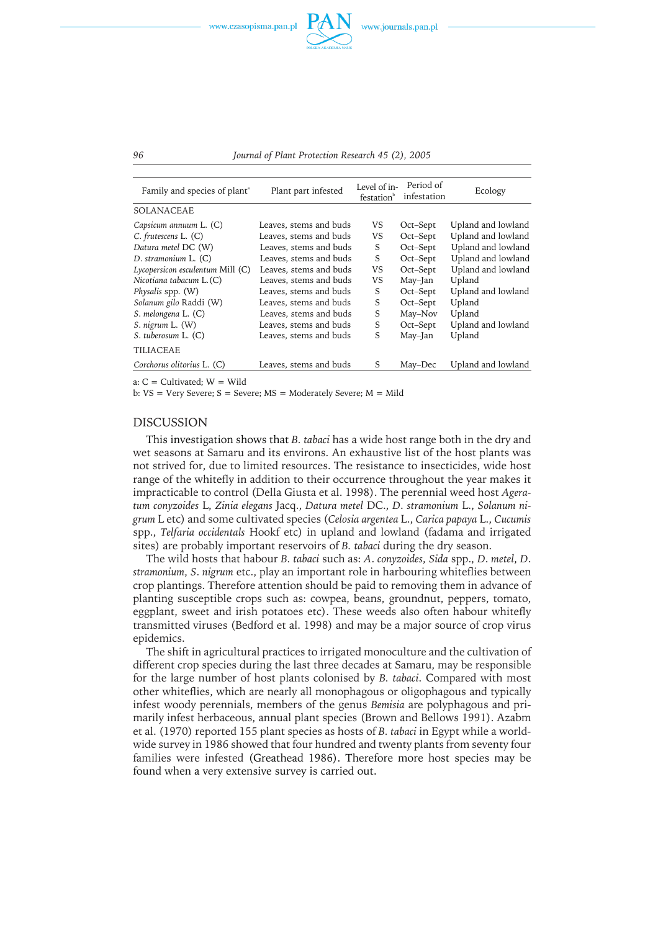



| Family and species of plant <sup>a</sup> | Plant part infested    | Level of in-<br>festation <sup>b</sup> | Period of<br>infestation | Ecology            |
|------------------------------------------|------------------------|----------------------------------------|--------------------------|--------------------|
| <b>SOLANACEAE</b>                        |                        |                                        |                          |                    |
| Capsicum annuum L. (C)                   | Leaves, stems and buds | VS                                     | Oct-Sept                 | Upland and lowland |
| $C.$ frutescens $L.$ $(C)$               | Leaves, stems and buds | VS                                     | Oct-Sept                 | Upland and lowland |
| Datura metel DC (W)                      | Leaves, stems and buds | S                                      | Oct-Sept                 | Upland and lowland |
| D. stramonium L. (C)                     | Leaves, stems and buds | S                                      | Oct-Sept                 | Upland and lowland |
| $Lycopersicon$ esculentum Mill $(C)$     | Leaves, stems and buds | VS                                     | Oct-Sept                 | Upland and lowland |
| Nicotiana tabacum L.(C)                  | Leaves, stems and buds | VS                                     | May–Jan                  | Upland             |
| Physalis spp. (W)                        | Leaves, stems and buds | S                                      | Oct-Sept                 | Upland and lowland |
| Solanum gilo Raddi (W)                   | Leaves, stems and buds | S                                      | Oct-Sept                 | Upland             |
| S. melongena L. (C)                      | Leaves, stems and buds | S                                      | May-Nov                  | Upland             |
| S. nigrum L. (W)                         | Leaves, stems and buds | S                                      | Oct–Sept                 | Upland and lowland |
| S. tuberosum L. (C)                      | Leaves, stems and buds | S                                      | May-Jan                  | Upland             |
| <b>TILIACEAE</b>                         |                        |                                        |                          |                    |
| Corchorus olitorius L. (C)               | Leaves, stems and buds | S                                      | May-Dec                  | Upland and lowland |

a: C = Cultivated; W = Wild

b: VS = Very Severe; S = Severe; MS = Moderately Severe; M = Mild

#### DISCUSSION

This investigation shows that *B. tabaci* has a wide host range both in the dry and wet seasons at Samaru and its environs. An exhaustive list of the host plants was not strived for, due to limited resources. The resistance to insecticides, wide host range of the whitefly in addition to their occurrence throughout the year makes it impracticable to control (Della Giusta et al. 1998). The perennial weed host *Ageratum conyzoides* L, *Zinia elegans* Jacq., *Datura metel* DC., *D*. *stramonium* L., *Solanum nigrum* L etc) and some cultivated species (*Celosia argentea* L., *Carica papaya* L., *Cucumis* spp., *Telfaria occidentals* Hookf etc) in upland and lowland (fadama and irrigated sites) are probably important reservoirs of *B. tabaci* during the dry season.

The wild hosts that habour *B. tabaci* such as: *A*. *conyzoides*, *Sida* spp., *D*. *metel*, *D*. *stramonium*, *S*. *nigrum* etc., play an important role in harbouringwhiteflies between crop plantings. Therefore attention should be paid to removing them in advance of planting susceptible crops such as: cowpea, beans, groundnut, peppers, tomato, eggplant, sweet and irish potatoes etc). These weeds also often habour whitefly transmitted viruses (Bedford et al. 1998) and may be a major source of crop virus epidemics.

The shift in agricultural practices to irrigated monoculture and the cultivation of different crop species during the last three decades at Samaru, may be responsible for the large number of host plants colonised by *B. tabaci*. Compared with most other whiteflies, which are nearly all monophagous or oligophagous and typically infest woody perennials, members of the genus *Bemisia* are polyphagous and primarily infest herbaceous, annual plant species (Brown and Bellows 1991). Azabm et al. (1970) reported 155 plant species as hosts of *B. tabaci* in Egypt while a worldwide survey in 1986 showed that four hundred and twenty plants from seventy four families were infested (Greathead 1986). Therefore more host species may be found when a very extensive survey is carried out.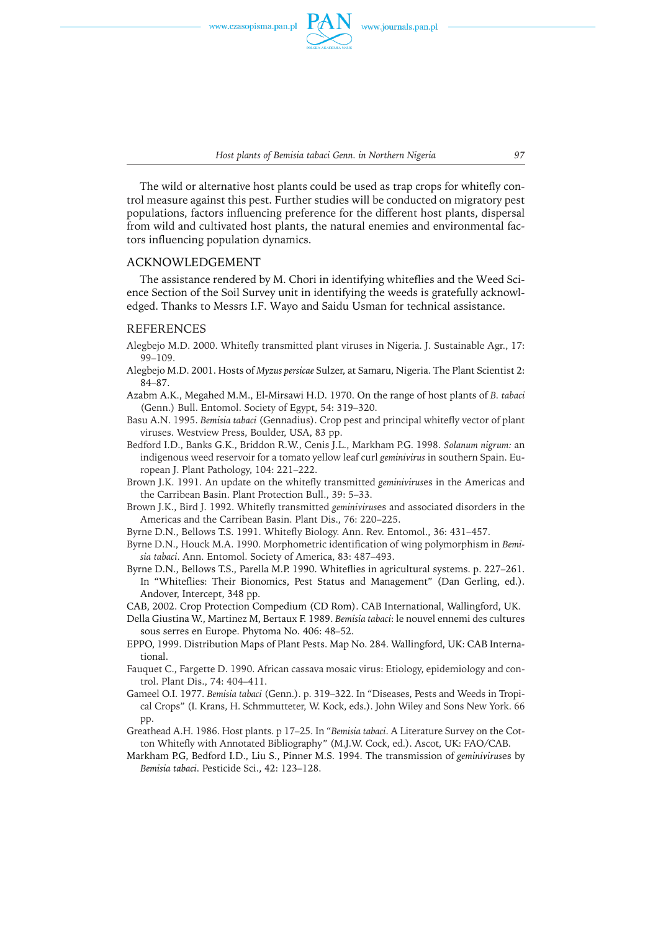

*Host plants of Bemisia tabaci Genn. in Northern Nigeria 97*

The wild or alternative host plants could be used as trap crops for whitefly control measure against this pest. Further studies will be conducted on migratory pest populations, factors influencing preference for the different host plants, dispersal from wild and cultivated host plants, the natural enemies and environmental factors influencing population dynamics.

#### ACKNOWLEDGEMENT

The assistance rendered by M. Chori in identifying whiteflies and the Weed Science Section of the Soil Survey unit in identifying the weeds is gratefully acknowledged. Thanks to Messrs I.F. Wayo and Saidu Usman for technical assistance.

#### REFERENCES

- Alegbejo M.D. 2000. Whitefly transmitted plant viruses in Nigeria. J. Sustainable Agr., 17: 99–109.
- Alegbejo M.D. 2001. Hosts of *Myzus persicae* Sulzer, at Samaru, Nigeria. The Plant Scientist 2: 84–87.
- Azabm A.K., Megahed M.M., El-Mirsawi H.D. 1970. On the range of host plants of *B. tabaci* (Genn.) Bull. Entomol. Society of Egypt, 54: 319–320.
- Basu A.N. 1995. *Bemisia tabaci* (Gennadius). Crop pest and principal whitefly vector of plant viruses. Westview Press, Boulder, USA, 83 pp.
- Bedford I.D., Banks G.K., Briddon R.W., Cenis J.L., Markham P.G. 1998. *Solanum nigrum:* an indigenous weed reservoir for a tomato yellow leaf curl *geminivirus* in southern Spain. European J. Plant Pathology, 104: 221–222.
- Brown J.K. 1991. An update on the whitefly transmitted *geminivirus*es in the Americas and the Carribean Basin. Plant Protection Bull., 39: 5–33.
- Brown J.K., Bird J. 1992. Whitefly transmitted *geminivirus*es and associated disorders in the Americas and the Carribean Basin. Plant Dis., 76: 220–225.
- Byrne D.N., Bellows T.S. 1991. Whitefly Biology. Ann. Rev. Entomol., 36: 431–457.
- Byrne D.N., Houck M.A. 1990. Morphometric identification of wing polymorphism in *Bemisia tabaci*. Ann. Entomol. Society of America, 83: 487–493.
- Byrne D.N., Bellows T.S., Parella M.P. 1990. Whiteflies in agricultural systems. p. 227–261. In "Whiteflies: Their Bionomics, Pest Status and Management" (Dan Gerling, ed.). Andover, Intercept, 348 pp.
- CAB, 2002. Crop Protection Compedium (CD Rom). CAB International, Wallingford, UK.
- Della Giustina W., Martinez M, Bertaux F. 1989. *Bemisia tabaci*: le nouvel ennemi des cultures sous serres en Europe. Phytoma No. 406: 48–52.
- EPPO, 1999. Distribution Maps of Plant Pests. Map No. 284. Wallingford, UK: CAB International.
- Fauquet C., Fargette D. 1990. African cassava mosaic virus: Etiology, epidemiology and control. Plant Dis., 74: 404–411.
- Gameel O.I. 1977. *Bemisia tabaci* (Genn.). p. 319–322. In "Diseases, Pests and Weeds in Tropical Crops" (I. Krans, H. Schmmutteter, W. Kock, eds.). John Wiley and Sons New York. 66 pp.
- Greathead A.H. 1986. Host plants. p 17–25. In "*Bemisia tabaci*. A Literature Survey on the Cotton Whitefly with Annotated Bibliography" (M.J.W. Cock, ed.). Ascot, UK: FAO/CAB.
- Markham P.G, Bedford I.D., Liu S., Pinner M.S. 1994. The transmission of *geminivirus*es by *Bemisia tabaci*. Pesticide Sci., 42: 123–128.